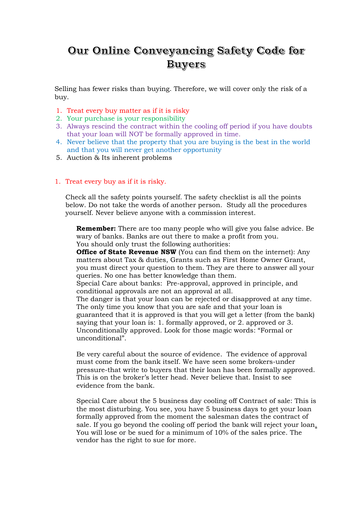# Our Online Conveyancing Safety Code for **Buyers**

Selling has fewer risks than buying. Therefore, we will cover only the risk of a buy.

- 1. Treat every buy matter as if it is risky
- 2. Your purchase is your responsibility
- 3. Always rescind the contract within the cooling off period if you have doubts that your loan will NOT be formally approved in time.
- 4. Never believe that the property that you are buying is the best in the world and that you will never get another opportunity
- 5. Auction & Its inherent problems

#### 1. Treat every buy as if it is risky.

Check all the safety points yourself. The safety checklist is all the points below. Do not take the words of another person. Study all the procedures yourself. Never believe anyone with a commission interest.

**Remember:** There are too many people who will give you false advice. Be wary of banks. Banks are out there to make a profit from you. You should only trust the following authorities:

**Office of State Revenue NSW** (You can find them on the internet): Any matters about Tax & duties, Grants such as First Home Owner Grant, you must direct your question to them. They are there to answer all your queries. No one has better knowledge than them.

Special Care about banks: Pre-approval, approved in principle, and conditional approvals are not an approval at all.

The danger is that your loan can be rejected or disapproved at any time. The only time you know that you are safe and that your loan is guaranteed that it is approved is that you will get a letter (from the bank) saying that your loan is: 1. formally approved, or 2. approved or 3. Unconditionally approved. Look for those magic words: "Formal or unconditional".

Be very careful about the source of evidence. The evidence of approval must come from the bank itself. We have seen some brokers-under pressure-that write to buyers that their loan has been formally approved. This is on the broker's letter head. Never believe that. Insist to see evidence from the bank.

Special Care about the 5 business day cooling off Contract of sale: This is the most disturbing. You see, you have 5 business days to get your loan formally approved from the moment the salesman dates the contract of sale. If you go beyond the cooling off period the bank will reject your loan. You will lose or be sued for a minimum of 10% of the sales price. The vendor has the right to sue for more.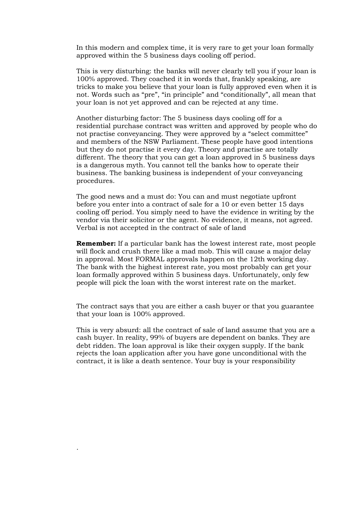In this modern and complex time, it is very rare to get your loan formally approved within the 5 business days cooling off period.

This is very disturbing: the banks will never clearly tell you if your loan is 100% approved. They coached it in words that, frankly speaking, are tricks to make you believe that your loan is fully approved even when it is not. Words such as "pre", "in principle" and "conditionally", all mean that your loan is not yet approved and can be rejected at any time.

Another disturbing factor: The 5 business days cooling off for a residential purchase contract was written and approved by people who do not practise conveyancing. They were approved by a "select committee" and members of the NSW Parliament. These people have good intentions but they do not practise it every day. Theory and practise are totally different. The theory that you can get a loan approved in 5 business days is a dangerous myth. You cannot tell the banks how to operate their business. The banking business is independent of your conveyancing procedures.

The good news and a must do: You can and must negotiate upfront before you enter into a contract of sale for a 10 or even better 15 days cooling off period. You simply need to have the evidence in writing by the vendor via their solicitor or the agent. No evidence, it means, not agreed. Verbal is not accepted in the contract of sale of land

**Remember:** If a particular bank has the lowest interest rate, most people will flock and crush there like a mad mob. This will cause a major delay in approval. Most FORMAL approvals happen on the 12th working day. The bank with the highest interest rate, you most probably can get your loan formally approved within 5 business days. Unfortunately, only few people will pick the loan with the worst interest rate on the market.

The contract says that you are either a cash buyer or that you guarantee that your loan is 100% approved.

This is very absurd: all the contract of sale of land assume that you are a cash buyer. In reality, 99% of buyers are dependent on banks. They are debt ridden. The loan approval is like their oxygen supply. If the bank rejects the loan application after you have gone unconditional with the contract, it is like a death sentence. Your buy is your responsibility

.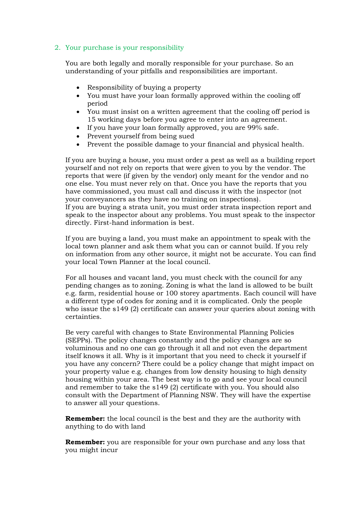## 2. Your purchase is your responsibility

You are both legally and morally responsible for your purchase. So an understanding of your pitfalls and responsibilities are important.

- Responsibility of buying a property
- You must have your loan formally approved within the cooling off period
- You must insist on a written agreement that the cooling off period is 15 working days before you agree to enter into an agreement.
- If you have your loan formally approved, you are 99% safe.
- Prevent yourself from being sued
- Prevent the possible damage to your financial and physical health.

If you are buying a house, you must order a pest as well as a building report yourself and not rely on reports that were given to you by the vendor. The reports that were (if given by the vendor) only meant for the vendor and no one else. You must never rely on that. Once you have the reports that you have commissioned, you must call and discuss it with the inspector (not your conveyancers as they have no training on inspections).

If you are buying a strata unit, you must order strata inspection report and speak to the inspector about any problems. You must speak to the inspector directly. First-hand information is best.

If you are buying a land, you must make an appointment to speak with the local town planner and ask them what you can or cannot build. If you rely on information from any other source, it might not be accurate. You can find your local Town Planner at the local council.

For all houses and vacant land, you must check with the council for any pending changes as to zoning. Zoning is what the land is allowed to be built e.g. farm, residential house or 100 storey apartments. Each council will have a different type of codes for zoning and it is complicated. Only the people who issue the s149 (2) certificate can answer your queries about zoning with certainties.

Be very careful with changes to State Environmental Planning Policies (SEPPs). The policy changes constantly and the policy changes are so voluminous and no one can go through it all and not even the department itself knows it all. Why is it important that you need to check it yourself if you have any concern? There could be a policy change that might impact on your property value e.g. changes from low density housing to high density housing within your area. The best way is to go and see your local council and remember to take the s149 (2) certificate with you. You should also consult with the Department of Planning NSW. They will have the expertise to answer all your questions.

**Remember:** the local council is the best and they are the authority with anything to do with land

**Remember:** you are responsible for your own purchase and any loss that you might incur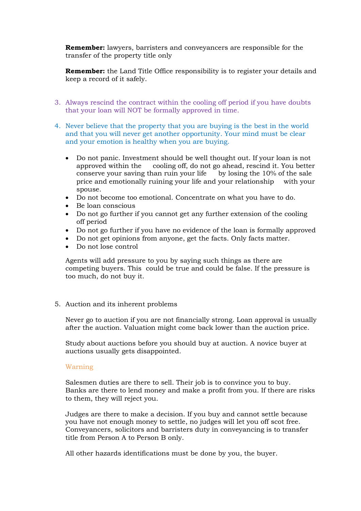**Remember:** lawyers, barristers and conveyancers are responsible for the transfer of the property title only

**Remember:** the Land Title Office responsibility is to register your details and keep a record of it safely.

- 3. Always rescind the contract within the cooling off period if you have doubts that your loan will NOT be formally approved in time.
- 4. Never believe that the property that you are buying is the best in the world and that you will never get another opportunity. Your mind must be clear and your emotion is healthy when you are buying.
	- Do not panic. Investment should be well thought out. If your loan is not approved within the cooling off, do not go ahead, rescind it. You better conserve your saving than ruin your life by losing the 10% of the sale price and emotionally ruining your life and your relationship with your spouse.
	- Do not become too emotional. Concentrate on what you have to do.
	- Be loan conscious
	- Do not go further if you cannot get any further extension of the cooling off period
	- Do not go further if you have no evidence of the loan is formally approved
	- Do not get opinions from anyone, get the facts. Only facts matter.
	- Do not lose control

Agents will add pressure to you by saying such things as there are competing buyers. This could be true and could be false. If the pressure is too much, do not buy it.

5. Auction and its inherent problems

Never go to auction if you are not financially strong. Loan approval is usually after the auction. Valuation might come back lower than the auction price.

Study about auctions before you should buy at auction. A novice buyer at auctions usually gets disappointed.

#### Warning

Salesmen duties are there to sell. Their job is to convince you to buy. Banks are there to lend money and make a profit from you. If there are risks to them, they will reject you.

Judges are there to make a decision. If you buy and cannot settle because you have not enough money to settle, no judges will let you off scot free. Conveyancers, solicitors and barristers duty in conveyancing is to transfer title from Person A to Person B only.

All other hazards identifications must be done by you, the buyer.